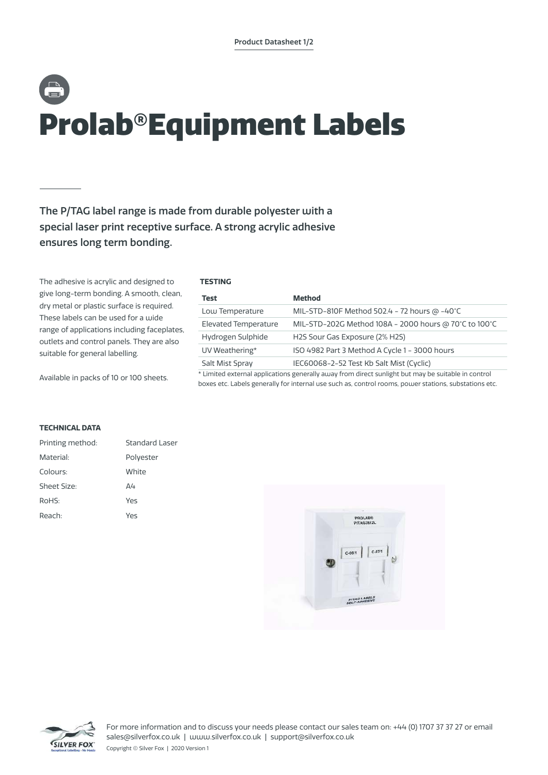# Prolab®Equipment Labels

# The P/TAG label range is made from durable polyester with a special laser print receptive surface. A strong acrylic adhesive ensures long term bonding.

The adhesive is acrylic and designed to give long-term bonding. A smooth, clean, dry metal or plastic surface is required. These labels can be used for a wide range of applications including faceplates, outlets and control panels. They are also suitable for general labelling.

Available in packs of 10 or 100 sheets.

## **TESTING**

| Test                                                                                               | <b>Method</b>                                         |  |
|----------------------------------------------------------------------------------------------------|-------------------------------------------------------|--|
| Low Temperature                                                                                    | MIL-STD-810F Method 502.4 - 72 hours @ -40°C          |  |
| <b>Elevated Temperature</b>                                                                        | MIL-STD-202G Method 108A - 2000 hours @ 70°C to 100°C |  |
| Hydrogen Sulphide                                                                                  | H2S Sour Gas Exposure (2% H2S)                        |  |
| UV Weathering*                                                                                     | ISO 4982 Part 3 Method A Cycle 1 - 3000 hours         |  |
| Salt Mist Spray                                                                                    | IEC60068-2-52 Test Kb Salt Mist (Cyclic)              |  |
| * Limited external applications generally away from direct sunlight but may be suitable in control |                                                       |  |

boxes etc. Labels generally for internal use such as, control rooms, power stations, substations etc.

## **TECHNICAL DATA**

| Printing method:   | <b>Standard Laser</b> |
|--------------------|-----------------------|
| Material:          | Polyester             |
| Colours:           | White                 |
| <b>Sheet Size:</b> | Δ4                    |
| RoHS:              | Yes                   |
| Reach:             | Yes                   |